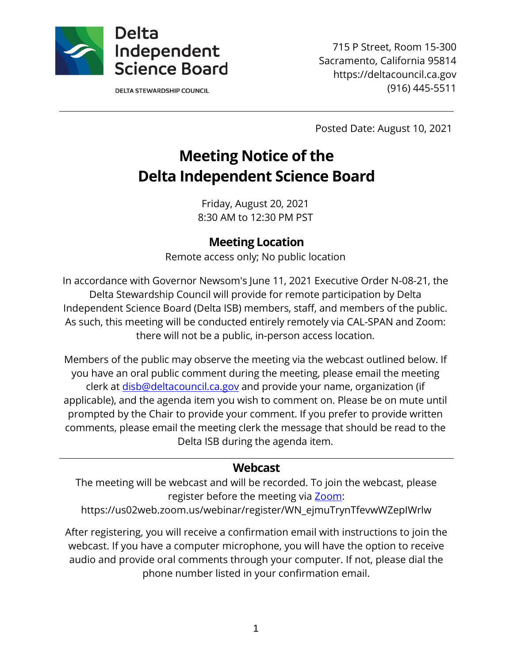

**DELTA STEWARDSHIP COUNCIL** 

715 P Street, Room 15-300 Sacramento, California 95814 https://deltacouncil.ca.gov (916) 445-5511

Posted Date: August 10, 2021

# **Meeting Notice of the Delta Independent Science Board**

Friday, August 20, 2021 8:30 AM to 12:30 PM PST

### **Meeting Location**

Remote access only; No public location

In accordance with Governor Newsom's June 11, 2021 Executive Order N-08-21, the Delta Stewardship Council will provide for remote participation by Delta Independent Science Board (Delta ISB) members, staff, and members of the public. As such, this meeting will be conducted entirely remotely via CAL-SPAN and Zoom: there will not be a public, in-person access location.

Members of the public may observe the meeting via the webcast outlined below. If you have an oral public comment during the meeting, please email the meeting clerk at [disb@deltacouncil.ca.gov](mailto:disb@deltacouncil.ca.gov) and provide your name, organization (if applicable), and the agenda item you wish to comment on. Please be on mute until prompted by the Chair to provide your comment. If you prefer to provide written comments, please email the meeting clerk the message that should be read to the Delta ISB during the agenda item.

#### **Webcast**

The meeting will be webcast and will be recorded. To join the webcast, please register before the meeting via [Zoom:](https://us02web.zoom.us/webinar/register/WN_ejmuTrynTfevwWZepIWrlw)

https://us02web.zoom.us/webinar/register/WN\_ejmuTrynTfevwWZepIWrlw

After registering, you will receive a confirmation email with instructions to join the webcast. If you have a computer microphone, you will have the option to receive audio and provide oral comments through your computer. If not, please dial the phone number listed in your confirmation email.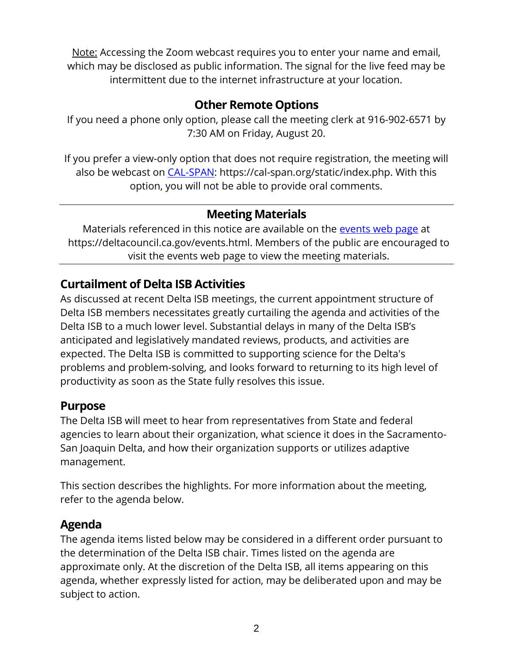Note: Accessing the Zoom webcast requires you to enter your name and email, which may be disclosed as public information. The signal for the live feed may be intermittent due to the internet infrastructure at your location.

## **Other Remote Options**

If you need a phone only option, please call the meeting clerk at 916-902-6571 by 7:30 AM on Friday, August 20.

If you prefer a view-only option that does not require registration, the meeting will also be webcast on [CAL-SPAN:](https://cal-span.org/static/index.php) https://cal-span.org/static/index.php. With this option, you will not be able to provide oral comments.

# **Meeting Materials**

Materials referenced in this notice are available on the [events web page](https://deltacouncil.ca.gov/events.html) at https://deltacouncil.ca.gov/events.html. Members of the public are encouraged to visit the events web page to view the meeting materials.

# **Curtailment of Delta ISB Activities**

As discussed at recent Delta ISB meetings, the current appointment structure of Delta ISB members necessitates greatly curtailing the agenda and activities of the Delta ISB to a much lower level. Substantial delays in many of the Delta ISB's anticipated and legislatively mandated reviews, products, and activities are expected. The Delta ISB is committed to supporting science for the Delta's problems and problem-solving, and looks forward to returning to its high level of productivity as soon as the State fully resolves this issue.

### **Purpose**

The Delta ISB will meet to hear from representatives from State and federal agencies to learn about their organization, what science it does in the Sacramento-San Joaquin Delta, and how their organization supports or utilizes adaptive management.

This section describes the highlights. For more information about the meeting, refer to the agenda below.

## **Agenda**

The agenda items listed below may be considered in a different order pursuant to the determination of the Delta ISB chair. Times listed on the agenda are approximate only. At the discretion of the Delta ISB, all items appearing on this agenda, whether expressly listed for action, may be deliberated upon and may be subject to action.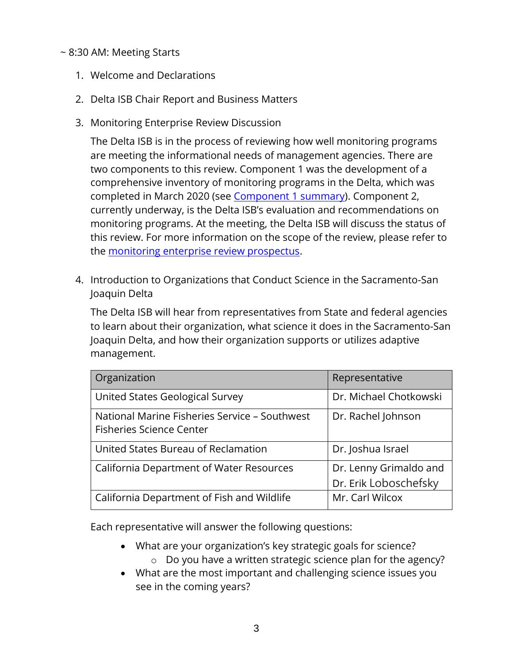#### ~ 8:30 AM: Meeting Starts

- 1. Welcome and Declarations
- 2. Delta ISB Chair Report and Business Matters
- 3. Monitoring Enterprise Review Discussion

The Delta ISB is in the process of reviewing how well monitoring programs are meeting the informational needs of management agencies. There are two components to this review. Component 1 was the development of a comprehensive inventory of monitoring programs in the Delta, which was completed in March 2020 (see [Component 1 summary\)](http://www.deltacouncil.ca.gov/pdf/isb/products/2020-03-31-isb-monitoring-enterprise-review-brochure.pdf). Component 2, currently underway, is the Delta ISB's evaluation and recommendations on monitoring programs. At the meeting, the Delta ISB will discuss the status of this review. For more information on the scope of the review, please refer to the [monitoring enterprise review prospectus.](http://deltacouncil.ca.gov/pdf/isb/products/2017-04-06-isb-mer-prospectus.pdf)

4. Introduction to Organizations that Conduct Science in the Sacramento-San Joaquin Delta

The Delta ISB will hear from representatives from State and federal agencies to learn about their organization, what science it does in the Sacramento-San Joaquin Delta, and how their organization supports or utilizes adaptive management.

| Organization                                                                     | Representative         |
|----------------------------------------------------------------------------------|------------------------|
| United States Geological Survey                                                  | Dr. Michael Chotkowski |
| National Marine Fisheries Service - Southwest<br><b>Fisheries Science Center</b> | Dr. Rachel Johnson     |
| United States Bureau of Reclamation                                              | Dr. Joshua Israel      |
| California Department of Water Resources                                         | Dr. Lenny Grimaldo and |
|                                                                                  | Dr. Erik Loboschefsky  |
| California Department of Fish and Wildlife                                       | Mr. Carl Wilcox        |

Each representative will answer the following questions:

- What are your organization's key strategic goals for science?
	- o Do you have a written strategic science plan for the agency?
- What are the most important and challenging science issues you see in the coming years?